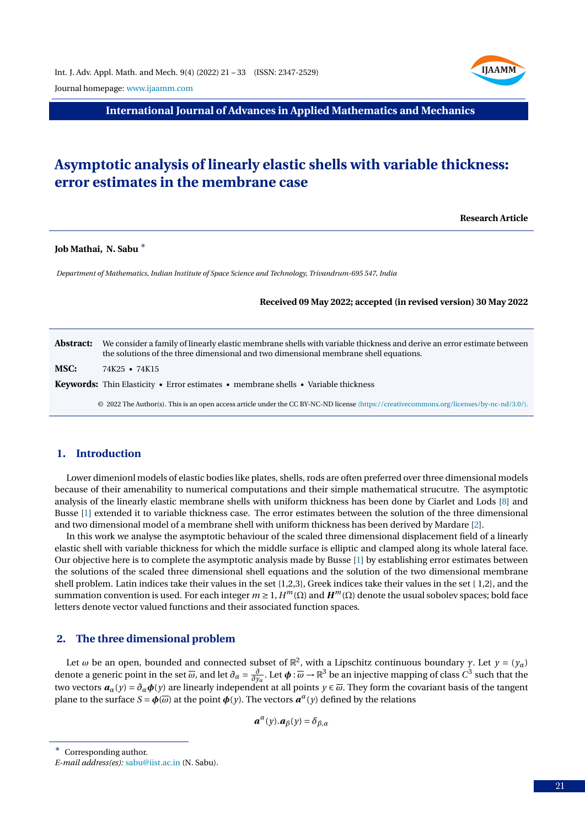**IJAAMM**

Journal homepage: [www.ijaamm.com](http://www.ijaamm.com/)

**International Journal of Advances in Applied Mathematics and Mechanics**

# **Asymptotic analysis of linearly elastic shells with variable thickness: error estimates in the membrane case**

**Research Article**

**Job Mathai, N. Sabu** <sup>∗</sup>

*Department of Mathematics, Indian Institute of Space Science and Technology, Trivandrum-695 547, India*

**Received 09 May 2022; accepted (in revised version) 30 May 2022**

**Abstract:** We consider a family of linearly elastic membrane shells with variable thickness and derive an error estimate between the solutions of the three dimensional and two dimensional membrane shell equations.

**MSC:** 74K25 • 74K15

**Keywords:** Thin Elasticity • Error estimates • membrane shells • Variable thickness

© 2022 The Author(s). This is an open access article under the CC BY-NC-ND license [\(https://creativecommons.org/licenses/by-nc-nd/3.0/\).](https://creativecommons.org/licenses/by-nc-nd/3.0/)

## **1. Introduction**

Lower dimenionl models of elastic bodies like plates, shells, rods are often preferred over three dimensional models because of their amenability to numerical computations and their simple mathematical strucutre. The asymptotic analysis of the linearly elastic membrane shells with uniform thickness has been done by Ciarlet and Lods [\[8\]](#page-12-0) and Busse [\[1\]](#page-12-1) extended it to variable thickness case. The error estimates between the solution of the three dimensional and two dimensional model of a membrane shell with uniform thickness has been derived by Mardare [\[2\]](#page-12-2).

In this work we analyse the asymptotic behaviour of the scaled three dimensional displacement field of a linearly elastic shell with variable thickness for which the middle surface is elliptic and clamped along its whole lateral face. Our objective here is to complete the asymptotic analysis made by Busse [\[1\]](#page-12-1) by establishing error estimates between the solutions of the scaled three dimensional shell equations and the solution of the two dimensional membrane shell problem. Latin indices take their values in the set {1,2,3}, Greek indices take their values in the set { 1,2}, and the summation convention is used. For each integer  $m ≥ 1$ ,  $H^m(Ω)$  and  $H^m(Ω)$  denote the usual sobolev spaces; bold face letters denote vector valued functions and their associated function spaces.

#### **2. The three dimensional problem**

Let  $\omega$  be an open, bounded and connected subset of  $\mathbb{R}^2$ , with a Lipschitz continuous boundary  $\gamma$ . Let  $y=(y_\alpha)$ denote a generic point in the set  $\overline{\omega}$ , and let  $\partial_{\alpha} = \frac{\partial}{\partial y_{\alpha}}$ . Let  $\phi : \overline{\omega} \to \mathbb{R}^3$  be an injective mapping of class  $C^3$  such that the two vectors  $a_\alpha(y) = \partial_\alpha \phi(y)$  are linearly independent at all points  $y \in \overline{\omega}$ . They form the covariant basis of the tangent plane to the surface  $S = \phi(\overline{\omega})$  at the point  $\phi(y)$ . The vectors  $a^{\alpha}(y)$  defined by the relations

$$
\boldsymbol{a}^{\alpha}(y).\boldsymbol{a}_{\beta}(y)=\delta_{\beta,\alpha}
$$

<sup>∗</sup> Corresponding author.

*E-mail address(es):* [sabu@iist.ac.in](mailto:sabu@iist.ac.in) (N. Sabu).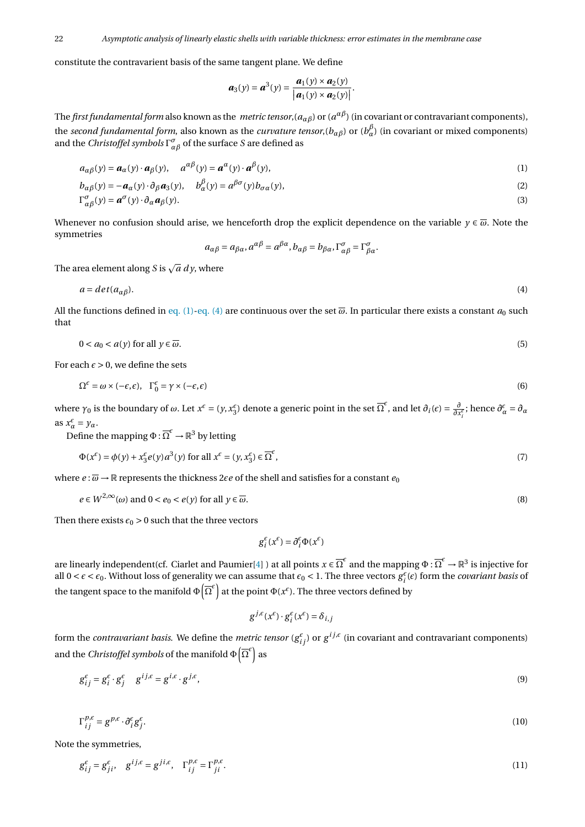constitute the contravarient basis of the same tangent plane. We define

<span id="page-1-0"></span>
$$
\boldsymbol{a}_3(y)=\boldsymbol{a}^3(y)=\frac{\boldsymbol{a}_1(y)\times\boldsymbol{a}_2(y)}{|\boldsymbol{a}_1(y)\times\boldsymbol{a}_2(y)|}.
$$

The *first fundamental form* also known as the *metric tensor*,(*aαβ*) or (*a αβ*) (in covariant or contravariant components), the *second fundamental form*, also known as the *curvature tensor*,(*bαβ*) or (*b β <sup>α</sup>*) (in covariant or mixed components) and the *Christoffel symbols*  $\Gamma^{\sigma}_{\alpha\beta}$  of the surface *S* are defined as

$$
a_{\alpha\beta}(y) = a_{\alpha}(y) \cdot a_{\beta}(y), \quad a^{\alpha\beta}(y) = a^{\alpha}(y) \cdot a^{\beta}(y), \tag{1}
$$

$$
b_{\alpha\beta}(y) = -\boldsymbol{a}_{\alpha}(y) \cdot \partial_{\beta} \boldsymbol{a}_{3}(y), \quad b_{\alpha}^{\beta}(y) = a^{\beta\sigma}(y) b_{\sigma\alpha}(y), \tag{2}
$$

$$
\Gamma^{\sigma}_{\alpha\beta}(y) = \boldsymbol{a}^{\sigma}(y) \cdot \partial_{\alpha} \boldsymbol{a}_{\beta}(y). \tag{3}
$$

Whenever no confusion should arise, we henceforth drop the explicit dependence on the variable  $y \in \overline{\omega}$ . Note the symmetries

<span id="page-1-1"></span>
$$
a_{\alpha\beta} = a_{\beta\alpha}, a^{\alpha\beta} = a^{\beta\alpha}, b_{\alpha\beta} = b_{\beta\alpha}, \Gamma^{\sigma}_{\alpha\beta} = \Gamma^{\sigma}_{\beta\alpha}.
$$

The area element along *S* is  $\sqrt{a} \, dy$ , where

$$
a = det(a_{\alpha\beta}). \tag{4}
$$

All the functions defined in [eq. \(1\)](#page-1-0)[-eq. \(4\)](#page-1-1) are continuous over the set  $\overline{\omega}$ . In particular there exists a constant  $a_0$  such that

$$
0 < a_0 < a(y) \text{ for all } y \in \overline{\omega}.\tag{5}
$$

For each  $\epsilon > 0$ , we define the sets

$$
\Omega^{\epsilon} = \omega \times (-\epsilon, \epsilon), \quad \Gamma_0^{\epsilon} = \gamma \times (-\epsilon, \epsilon)
$$
\n(6)

where  $\gamma_0$  is the boundary of  $\omega$ . Let  $x^{\epsilon} = (y, x_3^{\epsilon})$  denote a generic point in the set  $\overline{\Omega}^{\epsilon}$ , and let  $\partial_i(\epsilon) = \frac{\partial}{\partial x_i^{\epsilon}}$ ; hence  $\partial_{\alpha}^{\epsilon} = \partial_{\alpha}$  $\operatorname{as} x_{\alpha}^{\epsilon} = y_{\alpha}.$ 

Define the mapping  $\Phi$  :  $\overline{\Omega}^{\epsilon} \to \mathbb{R}^{3}$  by letting

$$
\Phi(x^{\epsilon}) = \phi(y) + x_3^{\epsilon} e(y) a^3(y) \text{ for all } x^{\epsilon} = (y, x_3^{\epsilon}) \in \overline{\Omega}^{\epsilon},
$$
\n(7)

where  $e : \overline{\omega} \to \mathbb{R}$  represents the thickness 2 $\epsilon e$  of the shell and satisfies for a constant  $e_0$ 

$$
e \in W^{2,\infty}(\omega) \text{ and } 0 < e_0 < e(y) \text{ for all } y \in \overline{\omega}.\tag{8}
$$

Then there exists  $\epsilon_0 > 0$  such that the three vectors

$$
g_i^\epsilon(x^\epsilon)=\partial_i^\epsilon \Phi(x^\epsilon)
$$

are linearly independent(cf. Ciarlet and Paumier[\[4\]](#page-12-3) ) at all points  $x\in\overline\Omega^\epsilon$  and the mapping  $\Phi:\overline\Omega^\epsilon\to\mathbb R^3$  is injective for all  $0 < \epsilon < \epsilon_0$ . Without loss of generality we can assume that  $\epsilon_0 < 1$ . The three vectors  $g_i^{\epsilon}(\epsilon)$  form the *covariant basis* of the tangent space to the manifold  $\Phi\big(\overline{\Omega}^{\epsilon}\big)$  at the point  $\Phi(x^{\epsilon})$ . The three vectors defined by

$$
g^{j,\epsilon}(x^{\epsilon})\cdot g_i^{\epsilon}(x^{\epsilon})=\delta_{i,j}
$$

form the *contravariant basis*. We define the *metric tensor* ( $g^{\epsilon}_{ij}$ ) or  $g^{ij,\epsilon}$  (in covariant and contravariant components) and the *Christoffel symbols* of the manifold  $\Phi\big(\overline{\Omega}^e\big)$  as

$$
g_{ij}^{\epsilon} = g_i^{\epsilon} \cdot g_j^{\epsilon} \quad g^{ij,\epsilon} = g^{i,\epsilon} \cdot g^{j,\epsilon}, \tag{9}
$$

$$
\Gamma_{ij}^{p,\epsilon} = g^{p,\epsilon} \cdot \partial_i^{\epsilon} g_j^{\epsilon}.
$$
 (10)

Note the symmetries,

$$
g_{ij}^{\varepsilon} = g_{ji}^{\varepsilon}, \quad g^{ij,\varepsilon} = g^{ji,\varepsilon}, \quad \Gamma_{ij}^{p,\varepsilon} = \Gamma_{ji}^{p,\varepsilon}.
$$
 (11)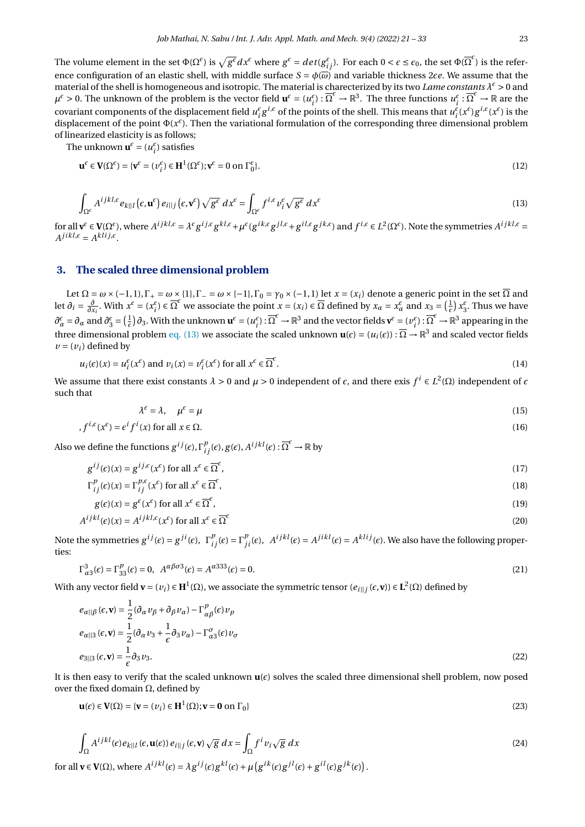The volume element in the set  $\Phi(\Omega^\epsilon)$  is  $\sqrt{g^\epsilon}dx^\epsilon$  where  $g^\epsilon=det(g^\epsilon_{ij})$ . For each  $0<\epsilon\leq\epsilon_0,$  the set  $\Phi(\overline{\Omega}^\epsilon)$  is the reference configuration of an elastic shell, with middle surface  $S = \phi(\omega)$  and variable thickness 2 $\epsilon e$ . We assume that the material of the shell is homogeneous and isotropic. The material is charecterized by its two *Lame constants*  $\lambda^{\epsilon} > 0$  and  $\mu^{\epsilon} > 0$ . The unknown of the problem is the vector field  $\mathbf{u}^{\epsilon} = (u_i^{\epsilon}): \overline{\Omega}^{\epsilon} \to \mathbb{R}^3$ . The three functions  $u_i^{\epsilon}: \overline{\Omega}^{\epsilon} \to \mathbb{R}$  are the covariant components of the displacement field  $u_i^{\epsilon}g^{i,\epsilon}$  of the points of the shell. This means that  $u_i^{\epsilon}(x^{\epsilon})g^{i,\epsilon}(x^{\epsilon})$  is the displacement of the point Φ(*x ²* ). Then the variational formulation of the corresponding three dimensional problem of linearized elasticity is as follows;

The unknown  $\mathbf{u}^{\epsilon} = (u_i^{\epsilon})$  satisfies

<span id="page-2-0"></span>
$$
\mathbf{u}^{\epsilon} \in \mathbf{V}(\Omega^{\epsilon}) = \{ \mathbf{v}^{\epsilon} = (\nu_i^{\epsilon}) \in \mathbf{H}^1(\Omega^{\epsilon}); \mathbf{v}^{\epsilon} = 0 \text{ on } \Gamma_0^{\epsilon} \}. \tag{12}
$$

$$
\int_{\Omega^{\epsilon}} A^{ijkl,\epsilon} e_{k||l}(\epsilon, \mathbf{u}^{\epsilon}) e_{i||j}(\epsilon, \mathbf{v}^{\epsilon}) \sqrt{g^{\epsilon}} dx^{\epsilon} = \int_{\Omega^{\epsilon}} f^{i,\epsilon} v_i^{\epsilon} \sqrt{g^{\epsilon}} dx^{\epsilon}
$$
\n(13)

for all  $\mathbf{v}^{\epsilon} \in \mathbf{V}(\Omega^{\epsilon})$ , where  $A^{ijkl,\epsilon} = \lambda^{\epsilon} g^{ij,\epsilon} g^{kl,\epsilon} + \mu^{\epsilon} (g^{ik,\epsilon} g^{jl,\epsilon} + g^{il,\epsilon} g^{jk,\epsilon})$  and  $f^{i,\epsilon} \in L^2(\Omega^{\epsilon})$ . Note the symmetries  $A^{ijkl,\epsilon} =$  $A^{j\,ik\ell,\epsilon} = A^{kli\,j,\epsilon}.$ 

## **3. The scaled three dimensional problem**

Let  $\Omega = \omega \times (-1,1)$ ,  $\Gamma_+ = \omega \times \{1\}$ ,  $\Gamma_- = \omega \times \{-1\}$ ,  $\Gamma_0 = \gamma_0 \times (-1,1)$  let  $x = (x_i)$  denote a generic point in the set  $\overline{\Omega}$  and let  $\partial_i = \frac{\partial}{\partial x_i}$ . With  $x^{\epsilon} = (x_i^{\epsilon}) \in \overline{\Omega}^{\epsilon}$  we associate the point  $x = (x_i) \in \overline{\Omega}$  defined by  $x_{\alpha} = x_{\alpha}^{\epsilon}$  and  $x_3 = (\frac{1}{\epsilon}) x_3^{\epsilon}$ . Thus we have  $\partial_{\alpha}^{\epsilon} = \partial_{\alpha}$  and  $\partial_{3}^{\epsilon} = (\frac{1}{\epsilon}) \partial_{3}$ . With the unknown  $\mathbf{u}^{\epsilon} = (u_{i}^{\epsilon}) : \overline{\Omega}^{\epsilon} \to \mathbb{R}^{3}$  and the vector fields  $\mathbf{v}^{\epsilon} = (v_{i}^{\epsilon}) : \overline{\Omega}^{\epsilon} \to \mathbb{R}^{3}$  appearing in the three dimensional problem [eq. \(13\)](#page-2-0) we associate the scaled unknown  $\mathbf{u}(\epsilon)=(u_i(\epsilon))$  :  $\overline{\Omega}\to\mathbb{R}^3$  and scaled vector fields  $v = (v_i)$  defined by

$$
u_i(\epsilon)(x) = u_i^{\epsilon}(x^{\epsilon}) \text{ and } v_i(x) = v_i^{\epsilon}(x^{\epsilon}) \text{ for all } x^{\epsilon} \in \overline{\Omega}^{\epsilon}.
$$
 (14)

We assume that there exist constants  $\lambda > 0$  and  $\mu > 0$  independent of  $\epsilon$ , and there exis  $f^i \in L^2(\Omega)$  independent of  $\epsilon$ such that

$$
\lambda^{\epsilon} = \lambda, \quad \mu^{\epsilon} = \mu \tag{15}
$$

$$
,f^{i,\epsilon}(x^{\epsilon})=\epsilon^{i}f^{i}(x)\text{ for all }x\in\Omega.
$$
\n
$$
(16)
$$

Also we define the functions  $g^{ij}(\epsilon), \Gamma^p_{ij}(\epsilon), g(\epsilon), A^{ijkl}(\epsilon): \overline{\Omega}^\epsilon \to \mathbb{R}$  by

$$
g^{ij}(\epsilon)(x) = g^{ij,\epsilon}(x^{\epsilon}) \text{ for all } x^{\epsilon} \in \overline{\Omega}^{\epsilon},\tag{17}
$$

$$
\Gamma_{ij}^{p}(\epsilon)(x) = \Gamma_{ij}^{p,\epsilon}(x^{\epsilon}) \text{ for all } x^{\epsilon} \in \overline{\Omega}^{\epsilon},\tag{18}
$$

$$
g(\epsilon)(x) = g^{\epsilon}(x^{\epsilon}) \text{ for all } x^{\epsilon} \in \overline{\Omega}^{\epsilon}, \tag{19}
$$

$$
A^{ijkl}(\epsilon)(x) = A^{ijkl,\epsilon}(x^{\epsilon}) \text{ for all } x^{\epsilon} \in \overline{\Omega}^{\epsilon}
$$
 (20)

Note the symmetries  $g^{ij}(\epsilon) = g^{ji}(\epsilon)$ ,  $\Gamma_{ij}^p(\epsilon) = \Gamma_{ji}^p(\epsilon)$ ,  $A^{ijkl}(\epsilon) = A^{jikl}(\epsilon) = A^{klij}(\epsilon)$ . We also have the following properties:

$$
\Gamma_{\alpha3}^3(\epsilon) = \Gamma_{33}^p(\epsilon) = 0, \quad A^{\alpha\beta\sigma 3}(\epsilon) = A^{\alpha333}(\epsilon) = 0. \tag{21}
$$

With any vector field  $\mathbf{v} = (v_i) \in \mathbf{H}^1(\Omega)$ , we associate the symmetric tensor  $(e_{i||j}(ε, \mathbf{v})) \in \mathbf{L}^2(\Omega)$  defined by

<span id="page-2-1"></span>
$$
e_{\alpha||\beta}(\epsilon, \mathbf{v}) = \frac{1}{2} (\partial_{\alpha} v_{\beta} + \partial_{\beta} v_{\alpha}) - \Gamma^p_{\alpha\beta}(\epsilon) v_p
$$
  
\n
$$
e_{\alpha||3}(\epsilon, \mathbf{v}) = \frac{1}{2} (\partial_{\alpha} v_3 + \frac{1}{\epsilon} \partial_3 v_{\alpha}) - \Gamma^{\sigma}_{\alpha3}(\epsilon) v_{\sigma}
$$
  
\n
$$
e_{3||3}(\epsilon, \mathbf{v}) = \frac{1}{\epsilon} \partial_3 v_3.
$$
\n(22)

It is then easy to verify that the scaled unknown  $\mathbf{u}(c)$  solves the scaled three dimensional shell problem, now posed over the fixed domain  $Ω$ , defined by

$$
\mathbf{u}(\epsilon) \in \mathbf{V}(\Omega) = \{\mathbf{v} = (v_i) \in \mathbf{H}^1(\Omega); \mathbf{v} = \mathbf{0} \text{ on } \Gamma_0\}
$$
\n(23)

$$
\int_{\Omega} A^{ijkl}(\epsilon) e_{k||l}(\epsilon, \mathbf{u}(\epsilon)) e_{i||j}(\epsilon, \mathbf{v}) \sqrt{g} \, dx = \int_{\Omega} f^i v_i \sqrt{g} \, dx \tag{24}
$$

for all  $\mathbf{v} \in \mathbf{V}(\Omega)$ , where  $A^{ijkl}(\epsilon) = \lambda g^{ij}(\epsilon) g^{kl}(\epsilon) + \mu (g^{ik}(\epsilon) g^{jl}(\epsilon) + g^{il}(\epsilon) g^{jk}(\epsilon)).$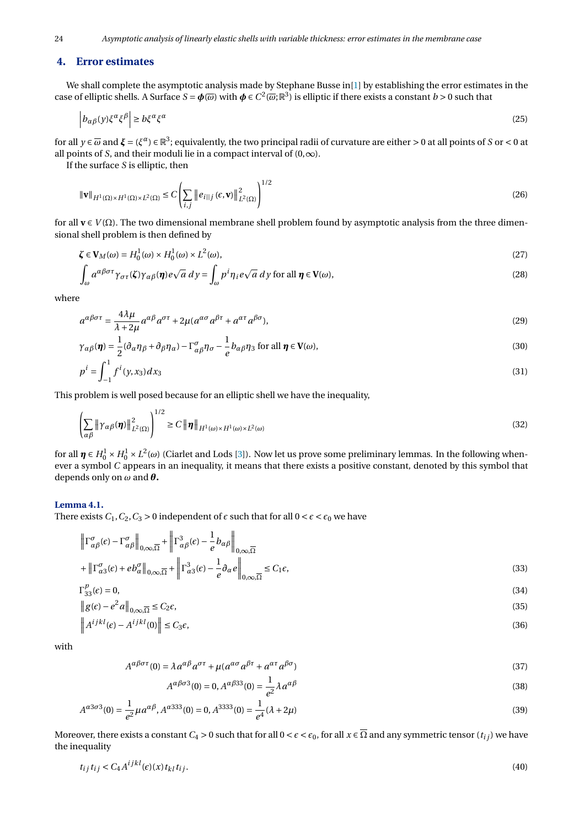# **4. Error estimates**

We shall complete the asymptotic analysis made by Stephane Busse in[\[1\]](#page-12-1) by establishing the error estimates in the case of elliptic shells. A Surface  $S = \phi(\overline{\omega})$  with  $\phi \in C^2(\overline{\omega};\mathbb{R}^3)$  is elliptic if there exists a constant  $b > 0$  such that

$$
\left| b_{\alpha\beta}(y)\xi^{\alpha}\xi^{\beta} \right| \ge b\xi^{\alpha}\xi^{\alpha} \tag{25}
$$

for all  $y\in\overline{\omega}$  and  $\xi=(\xi^\alpha)\in\mathbb{R}^3;$  equivalently, the two principal radii of curvature are either > 0 at all points of *S* or < 0 at all points of *S*, and their moduli lie in a compact interval of  $(0, \infty)$ .

If the surface *S* is elliptic, then

$$
\|\mathbf{v}\|_{H^1(\Omega)\times H^1(\Omega)\times L^2(\Omega)} \le C \left( \sum_{i,j} \|e_{i\|j}(\epsilon, \mathbf{v})\|_{L^2(\Omega)}^2 \right)^{1/2} \tag{26}
$$

for all **v** ∈ *V* (Ω). The two dimensional membrane shell problem found by asymptotic analysis from the three dimensional shell problem is then defined by

$$
\zeta \in V_M(\omega) = H_0^1(\omega) \times H_0^1(\omega) \times L^2(\omega),\tag{27}
$$

$$
\int_{\omega} a^{\alpha\beta\sigma\tau} \gamma_{\sigma\tau}(\zeta) \gamma_{\alpha\beta}(\pmb{\eta}) e \sqrt{a} \, dy = \int_{\omega} p^i \eta_i e \sqrt{a} \, dy \text{ for all } \pmb{\eta} \in \mathbf{V}(\omega),\tag{28}
$$

where

$$
a^{\alpha\beta\sigma\tau} = \frac{4\lambda\mu}{\lambda + 2\mu} a^{\alpha\beta} a^{\sigma\tau} + 2\mu (a^{\alpha\sigma} a^{\beta\tau} + a^{\alpha\tau} a^{\beta\sigma}),
$$
\n(29)

$$
\gamma_{\alpha\beta}(\boldsymbol{\eta}) = \frac{1}{2} (\partial_{\alpha}\eta_{\beta} + \partial_{\beta}\eta_{\alpha}) - \Gamma^{\sigma}_{\alpha\beta}\eta_{\sigma} - \frac{1}{e} b_{\alpha\beta}\eta_{3} \text{ for all } \boldsymbol{\eta} \in \mathbf{V}(\omega),
$$
\n(30)

$$
p^i = \int_{-1}^1 f^i(y, x_3) dx_3 \tag{31}
$$

This problem is well posed because for an elliptic shell we have the inequality,

 $1/2$ 

$$
\left(\sum_{\alpha\beta} \left\|\gamma_{\alpha\beta}(\boldsymbol{\eta})\right\|_{L^2(\Omega)}^2\right)^{1/2} \ge C \left\|\boldsymbol{\eta}\right\|_{H^1(\omega)\times H^1(\omega)\times L^2(\omega)}
$$
\n(32)

for all  $\pmb{\eta} \in H_0^1 \times H_0^1 \times L^2(\omega)$  (Ciarlet and Lods [\[3\]](#page-12-4)). Now let us prove some preliminary lemmas. In the following whenever a symbol *C* appears in an inequality, it means that there exists a positive constant, denoted by this symbol that depends only on *ω* and *θ***.**

#### **Lemma 4.1.**

There exists  $C_1$ ,  $C_2$ ,  $C_3 > 0$  independent of  $\epsilon$  such that for all  $0 < \epsilon < \epsilon_0$  we have

<span id="page-3-2"></span><span id="page-3-1"></span><span id="page-3-0"></span>°

$$
\left\| \Gamma^{\sigma}_{\alpha\beta}(\epsilon) - \Gamma^{\sigma}_{\alpha\beta} \right\|_{0,\infty,\overline{\Omega}} + \left\| \Gamma^3_{\alpha\beta}(\epsilon) - \frac{1}{e} b_{\alpha\beta} \right\|_{0,\infty,\overline{\Omega}}
$$
  
+ 
$$
\left\| \Gamma^{\sigma}_{\alpha3}(\epsilon) + e b^{\sigma}_{\alpha} \right\|_{0,\infty,\overline{\Omega}} + \left\| \Gamma^3_{\alpha3}(\epsilon) - \frac{1}{e} \partial_{\alpha} e \right\|_{0,\infty,\overline{\Omega}} \leq C_1 \epsilon,
$$
 (33)

$$
\Gamma_{33}^p(\epsilon) = 0,\tag{34}
$$

$$
\|g(\epsilon) - e^2 a\|_{0,\infty,\overline{\Omega}} \le C_2 \epsilon,\tag{35}
$$

$$
\left\|A^{ijkl}(\epsilon) - A^{ijkl}(0)\right\| \le C_3 \epsilon,\tag{36}
$$

with

$$
A^{\alpha\beta\sigma\tau}(0) = \lambda a^{\alpha\beta} a^{\sigma\tau} + \mu (a^{\alpha\sigma} a^{\beta\tau} + a^{\alpha\tau} a^{\beta\sigma})
$$
\n(37)

$$
A^{\alpha\beta\sigma3}(0) = 0, A^{\alpha\beta33}(0) = \frac{1}{e^2} \lambda a^{\alpha\beta} \tag{38}
$$

$$
A^{\alpha 3\sigma 3}(0) = \frac{1}{e^2} \mu a^{\alpha \beta}, A^{\alpha 333}(0) = 0, A^{3333}(0) = \frac{1}{e^4} (\lambda + 2\mu)
$$
\n(39)

Moreover, there exists a constant  $C_4 > 0$  such that for all  $0 < \epsilon < \epsilon_0$ , for all  $x \in \overline{\Omega}$  and any symmetric tensor  $(t_{ij})$  we have the inequality

$$
t_{ij}t_{ij} < C_4 A^{ijkl}(\epsilon)(x)t_{kl}t_{ij}.\tag{40}
$$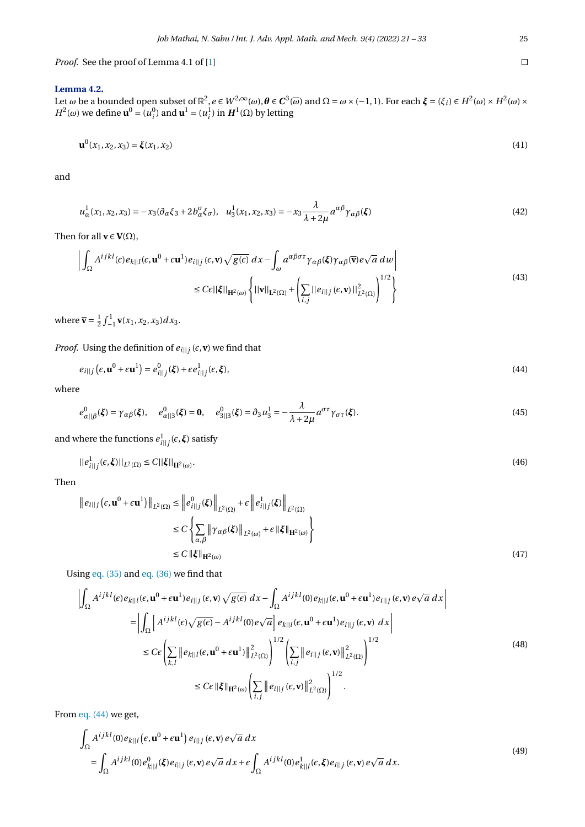*Proof.* See the proof of Lemma 4.1 of [\[1\]](#page-12-1)

#### <span id="page-4-4"></span>**Lemma 4.2.**

Let  $\omega$  be a bounded open subset of  $\mathbb{R}^2$ ,  $e \in W^{2,\infty}(\omega)$ ,  $\theta \in C^3(\overline{\omega})$  and  $\Omega = \omega \times (-1,1)$ . For each  $\xi = (\xi_i) \in H^2(\omega) \times H^2(\omega) \times$ *H*<sup>2</sup>(ω) we define **u**<sup>0</sup> = ( $u_i^0$ ) and **u**<sup>1</sup> = ( $u_i^1$ ) in *H*<sup>1</sup>(Ω) by letting

$$
\mathbf{u}^{0}(x_{1}, x_{2}, x_{3}) = \xi(x_{1}, x_{2})
$$
\n(41)

and

$$
u_{\alpha}^{1}(x_{1}, x_{2}, x_{3}) = -x_{3}(\partial_{\alpha}\xi_{3} + 2b_{\alpha}^{\sigma}\xi_{\sigma}), \quad u_{3}^{1}(x_{1}, x_{2}, x_{3}) = -x_{3}\frac{\lambda}{\lambda + 2\mu}a^{\alpha\beta}\gamma_{\alpha\beta}(\xi)
$$
\n(42)

Then for all  $\mathbf{v} \in \mathbf{V}(\Omega)$ ,

$$
\left| \int_{\Omega} A^{ijkl}(\epsilon) e_{k||l}(\epsilon, \mathbf{u}^{0} + \epsilon \mathbf{u}^{1}) e_{i||j}(\epsilon, \mathbf{v}) \sqrt{g(\epsilon)} dx - \int_{\omega} a^{\alpha \beta \sigma \tau} \gamma_{\alpha \beta}(\xi) \gamma_{\alpha \beta}(\overline{\mathbf{v}}) e \sqrt{a} dw \right|
$$
  
\n
$$
\leq C \epsilon ||\xi||_{\mathbf{H}^{2}(\omega)} \left\{ ||\mathbf{v}||_{\mathbf{L}^{2}(\Omega)} + \left( \sum_{i,j} ||e_{i||j}(\epsilon, \mathbf{v})||_{L^{2}(\Omega)}^{2} \right)^{1/2} \right\}
$$
\n(43)

where  $\bar{\mathbf{v}} = \frac{1}{2} \int_{-1}^{1} \mathbf{v}(x_1, x_2, x_3) dx_3.$ 

*Proof.* Using the definition of  $e_{i||j}$  ( $\epsilon$ , $\bf{v}$ ) we find that

<span id="page-4-0"></span>
$$
e_{i||j}\left(\epsilon,\mathbf{u}^{0}+\epsilon\mathbf{u}^{1}\right)=e_{i||j}^{0}(\xi)+\epsilon e_{i||j}^{1}(\epsilon,\xi),\tag{44}
$$

where

$$
e_{\alpha||\beta}^{0}(\xi) = \gamma_{\alpha\beta}(\xi), \quad e_{\alpha||3}^{0}(\xi) = \mathbf{0}, \quad e_{3||3}^{0}(\xi) = \partial_{3}u_{3}^{1} = -\frac{\lambda}{\lambda + 2\mu}a^{\sigma\tau}\gamma_{\sigma\tau}(\xi).
$$
\n(45)

and where the functions  $e_{i||j}^1(\epsilon,\boldsymbol{\xi})$  satisfy

<span id="page-4-3"></span>
$$
||e_{i||j}^1(\epsilon,\xi)||_{L^2(\Omega)} \le C||\xi||_{\mathbf{H}^2(\omega)}.
$$
\n(46)

Then

$$
\|e_{i||j}(\epsilon, \mathbf{u}^{0} + \epsilon \mathbf{u}^{1})\|_{L^{2}(\Omega)} \leq \|e_{i||j}^{0}(\xi)\|_{L^{2}(\Omega)} + \epsilon \|e_{i||j}^{1}(\xi)\|_{L^{2}(\Omega)}
$$
  
\n
$$
\leq C \left\{\sum_{\alpha, \beta} \|\gamma_{\alpha\beta}(\xi)\|_{L^{2}(\omega)} + \epsilon \|\xi\|_{\mathbf{H}^{2}(\omega)} \right\}
$$
  
\n
$$
\leq C \|\xi\|_{\mathbf{H}^{2}(\omega)}
$$
\n(47)

Using [eq. \(35\)](#page-3-0) and [eq. \(36\)](#page-3-1) we find that

<span id="page-4-2"></span>
$$
\left| \int_{\Omega} A^{ijkl}(\epsilon) e_{k||l}(\epsilon, \mathbf{u}^{0} + \epsilon \mathbf{u}^{1}) e_{i||j}(\epsilon, \mathbf{v}) \sqrt{g(\epsilon)} dx - \int_{\Omega} A^{ijkl}(0) e_{k||l}(\epsilon, \mathbf{u}^{0} + \epsilon \mathbf{u}^{1}) e_{i||j}(\epsilon, \mathbf{v}) e \sqrt{a} dx \right|
$$
  
\n
$$
= \left| \int_{\Omega} \left[ A^{ijkl}(\epsilon) \sqrt{g(\epsilon)} - A^{ijkl}(0) e \sqrt{a} \right] e_{k||l}(\epsilon, \mathbf{u}^{0} + \epsilon \mathbf{u}^{1}) e_{i||j}(\epsilon, \mathbf{v}) dx \right|
$$
  
\n
$$
\leq C \epsilon \left( \sum_{k,l} \| e_{k||l}(\epsilon, \mathbf{u}^{0} + \epsilon \mathbf{u}^{1}) \|_{L^{2}(\Omega)}^{2} \right)^{1/2} \left( \sum_{i,j} \| e_{i||j}(\epsilon, \mathbf{v}) \|_{L^{2}(\Omega)}^{2} \right)^{1/2}
$$
  
\n
$$
\leq C \epsilon \| \xi \|_{\mathbf{H}^{2}(\omega)} \left( \sum_{i,j} \| e_{i||j}(\epsilon, \mathbf{v}) \|_{L^{2}(\Omega)}^{2} \right)^{1/2} .
$$
\n(48)

From [eq. \(44\)](#page-4-0) we get,

<span id="page-4-1"></span>
$$
\int_{\Omega} A^{ijkl}(0)e_{k||l}(\epsilon, \mathbf{u}^{0} + \epsilon \mathbf{u}^{1}) e_{i||j}(\epsilon, \mathbf{v}) e\sqrt{a} dx
$$
\n
$$
= \int_{\Omega} A^{ijkl}(0)e_{k||l}^{0}(\xi)e_{i||j}(\epsilon, \mathbf{v}) e\sqrt{a} dx + \epsilon \int_{\Omega} A^{ijkl}(0)e_{k||l}^{1}(\epsilon, \xi)e_{i||j}(\epsilon, \mathbf{v}) e\sqrt{a} dx.
$$
\n(49)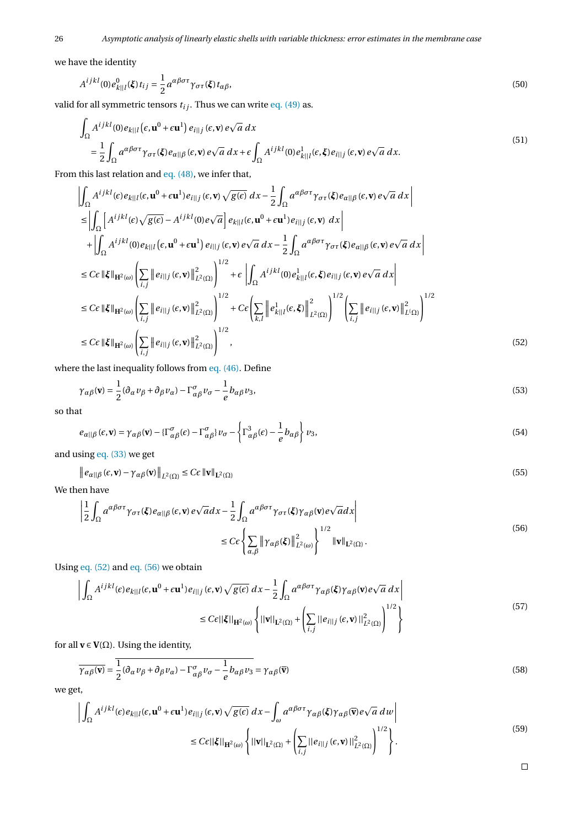we have the identity

$$
A^{ijkl}(0)e_{k||l}^{0}(\boldsymbol{\xi})t_{ij} = \frac{1}{2}a^{\alpha\beta\sigma\tau}\gamma_{\sigma\tau}(\boldsymbol{\xi})t_{\alpha\beta},\tag{50}
$$

valid for all symmetric tensors  $t_{ij}$ . Thus we can write [eq. \(49\)](#page-4-1) as.

$$
\int_{\Omega} A^{ijkl}(0)e_{k||l}(\epsilon, \mathbf{u}^{0} + \epsilon \mathbf{u}^{1}) e_{i||j}(\epsilon, \mathbf{v}) e\sqrt{a} dx
$$
\n
$$
= \frac{1}{2} \int_{\Omega} a^{\alpha\beta\sigma\tau} \gamma_{\sigma\tau}(\xi) e_{\alpha||\beta}(\epsilon, \mathbf{v}) e\sqrt{a} dx + \epsilon \int_{\Omega} A^{ijkl}(0)e_{k||l}^{1}(\epsilon, \xi) e_{i||j}(\epsilon, \mathbf{v}) e\sqrt{a} dx.
$$
\n(51)

From this last relation and [eq. \(48\),](#page-4-2) we infer that,

$$
\begin{split}\n&\left|\int_{\Omega} A^{ijkl}(\epsilon) e_{k||l}(\epsilon, \mathbf{u}^{0} + \epsilon \mathbf{u}^{1}) e_{i||j}(\epsilon, \mathbf{v}) \sqrt{g(\epsilon)} dx - \frac{1}{2} \int_{\Omega} a^{\alpha \beta \sigma \tau} \gamma_{\sigma \tau}(\xi) e_{\alpha ||\beta}(\epsilon, \mathbf{v}) e \sqrt{a} dx \right| \\
&\leq \left| \int_{\Omega} \left[ A^{ijkl}(\epsilon) \sqrt{g(\epsilon)} - A^{ijkl}(0) e \sqrt{a} \right] e_{k||l}(\epsilon, \mathbf{u}^{0} + \epsilon \mathbf{u}^{1}) e_{i||j}(\epsilon, \mathbf{v}) dx \right| \\
&+ \left| \int_{\Omega} A^{ijkl}(0) e_{k||l}(\epsilon, \mathbf{u}^{0} + \epsilon \mathbf{u}^{1}) e_{i||j}(\epsilon, \mathbf{v}) e \sqrt{a} dx - \frac{1}{2} \int_{\Omega} a^{\alpha \beta \sigma \tau} \gamma_{\sigma \tau}(\xi) e_{\alpha ||\beta}(\epsilon, \mathbf{v}) e \sqrt{a} dx \right| \\
&\leq C \epsilon \|\xi\|_{\mathbf{H}^{2}(\omega)} \left( \sum_{i,j} \|e_{i||j}(\epsilon, \mathbf{v})\|_{L^{2}(\Omega)}^{2} \right)^{1/2} + \epsilon \left| \int_{\Omega} A^{ijkl}(0) e_{k||l}^{1}(\epsilon, \xi) e_{i||j}(\epsilon, \mathbf{v}) e \sqrt{a} dx \right| \\
&\leq C \epsilon \|\xi\|_{\mathbf{H}^{2}(\omega)} \left( \sum_{i,j} \|e_{i||j}(\epsilon, \mathbf{v})\|_{L^{2}(\Omega)}^{2} \right)^{1/2} + C \epsilon \left( \sum_{k,l} \|e_{k||l}^{1}(\epsilon, \xi)\|_{L^{2}(\Omega)}^{2} \right)^{1/2} \left( \sum_{i,j} \|e_{i||j}(\epsilon, \mathbf{v})\|_{L^{1}(\Omega)}^{2} \right)^{1/2} \\
&\leq C \epsilon \|\xi\|_{\mathbf{H}^{2}(\omega)} \left( \sum_{i,j} \|e_{i||j}(\epsilon, \mathbf{v})\|_{L^{2}(\Omega)}^{2} \right)^{1/2}, \n\end{split} \tag{52}
$$

where the last inequality follows from [eq. \(46\).](#page-4-3) Define

$$
\gamma_{\alpha\beta}(\mathbf{v}) = \frac{1}{2} (\partial_{\alpha} v_{\beta} + \partial_{\beta} v_{\alpha}) - \Gamma^{\sigma}_{\alpha\beta} v_{\sigma} - \frac{1}{e} b_{\alpha\beta} v_3,
$$
\n(53)

so that

$$
e_{\alpha||\beta}(\epsilon, \mathbf{v}) = \gamma_{\alpha\beta}(\mathbf{v}) - {\{\Gamma^{\sigma}_{\alpha\beta}(\epsilon) - \Gamma^{\sigma}_{\alpha\beta}\}} v_{\sigma} - \left\{{\Gamma^3_{\alpha\beta}(\epsilon) - \frac{1}{e}b_{\alpha\beta}}\right\} v_3,
$$
\n(54)

and using [eq. \(33\)](#page-3-2) we get

$$
\|e_{\alpha\|\beta}(\epsilon, \mathbf{v}) - \gamma_{\alpha\beta}(\mathbf{v})\|_{L^2(\Omega)} \leq C\epsilon \|\mathbf{v}\|_{L^2(\Omega)}
$$
\n(55)

We then have

<span id="page-5-1"></span>
$$
\left| \frac{1}{2} \int_{\Omega} a^{\alpha \beta \sigma \tau} \gamma_{\sigma \tau}(\xi) e_{\alpha ||\beta}(\epsilon, \mathbf{v}) e \sqrt{a} dx - \frac{1}{2} \int_{\Omega} a^{\alpha \beta \sigma \tau} \gamma_{\sigma \tau}(\xi) \gamma_{\alpha \beta}(\mathbf{v}) e \sqrt{a} dx \right|
$$
  

$$
\leq C \epsilon \left\{ \sum_{\alpha, \beta} \left\| \gamma_{\alpha \beta}(\xi) \right\|_{L^{2}(\omega)}^{2} \right\}^{1/2} ||\mathbf{v}||_{L^{2}(\Omega)}.
$$
 (56)

Using [eq. \(52\)](#page-5-0) and [eq. \(56\)](#page-5-1) we obtain

$$
\left| \int_{\Omega} A^{ijkl}(\epsilon) e_{k||l}(\epsilon, \mathbf{u}^0 + \epsilon \mathbf{u}^1) e_{l||j}(\epsilon, \mathbf{v}) \sqrt{g(\epsilon)} dx - \frac{1}{2} \int_{\Omega} a^{\alpha \beta \sigma \tau} \gamma_{\alpha \beta}(\xi) \gamma_{\alpha \beta}(\mathbf{v}) e \sqrt{a} dx \right|
$$
  

$$
\leq C\epsilon ||\xi||_{\mathbf{H}^2(\omega)} \left\{ ||\mathbf{v}||_{\mathbf{L}^2(\Omega)} + \left( \sum_{i,j} ||e_{i||j}(\epsilon, \mathbf{v})||_{\mathbf{L}^2(\Omega)}^2 \right)^{1/2} \right\}
$$
(57)

for all  $\mathbf{v} \in \mathbf{V}(\Omega)$ . Using the identity,

$$
\overline{\gamma_{\alpha\beta}(\mathbf{v})} = \frac{1}{2} (\partial_{\alpha} \nu_{\beta} + \partial_{\beta} \nu_{\alpha}) - \Gamma^{\sigma}_{\alpha\beta} \nu_{\sigma} - \frac{1}{e} b_{\alpha\beta} \nu_{3} = \gamma_{\alpha\beta}(\overline{\mathbf{v}})
$$
\n(58)

we get,

<span id="page-5-2"></span>
$$
\left| \int_{\Omega} A^{ijkl}(\epsilon) e_{k||l}(\epsilon, \mathbf{u}^{0} + \epsilon \mathbf{u}^{1}) e_{i||j}(\epsilon, \mathbf{v}) \sqrt{g(\epsilon)} dx - \int_{\omega} a^{\alpha \beta \sigma \tau} \gamma_{\alpha \beta}(\xi) \gamma_{\alpha \beta}(\overline{\mathbf{v}}) e \sqrt{a} dw \right|
$$
  

$$
\leq C \epsilon ||\xi||_{\mathbf{H}^{2}(\omega)} \left\{ ||\mathbf{v}||_{\mathbf{L}^{2}(\Omega)} + \left( \sum_{i,j} ||e_{i||j}(\epsilon, \mathbf{v})||_{L^{2}(\Omega)}^{2} \right)^{1/2} \right\}.
$$
 (59)

<span id="page-5-0"></span> $\Box$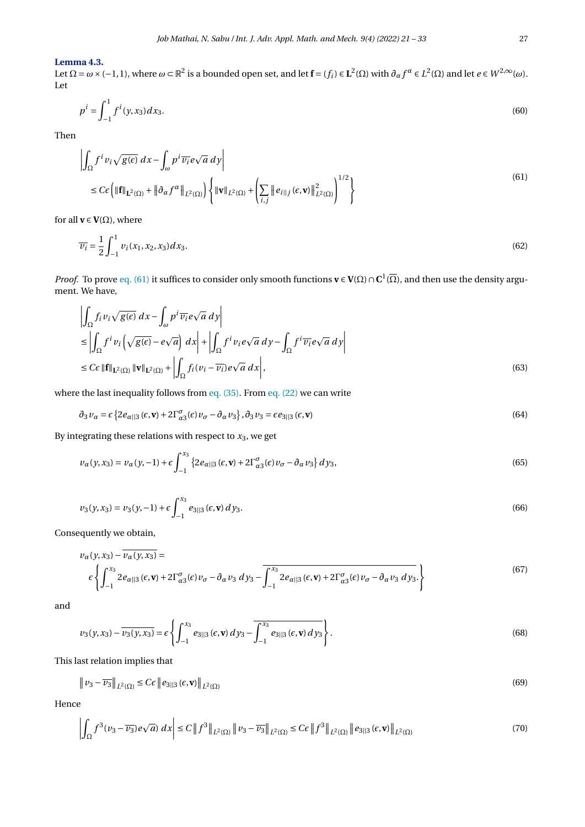### **Lemma 4.3.**

Let Ω =  $ω$  × (−1, 1), where  $ω$  ⊂  $\mathbb{R}^2$  is a bounded open set, and let  $\mathbf{f} = (f_i) \in \mathbf{L}^2(\Omega)$  with  $∂_αf^α ∈ L^2(\Omega)$  and let  $e ∈ W^{2,∞}(ω)$ . Let

$$
p^i = \int_{-1}^1 f^i(y, x_3) dx_3. \tag{60}
$$

Then

<span id="page-6-0"></span>
$$
\left| \int_{\Omega} f^{i} v_{i} \sqrt{g(\epsilon)} dx - \int_{\omega} p^{i} \overline{v_{i}} e \sqrt{a} dy \right|
$$
  
\n
$$
\leq C \epsilon \left( \| \mathbf{f} \|_{\mathbf{L}^{2}(\Omega)} + \| \partial_{\alpha} f^{\alpha} \|_{L^{2}(\Omega)} \right) \left\{ \| \mathbf{v} \|_{L^{2}(\Omega)} + \left( \sum_{i,j} \| e_{i} \|_{j} (\epsilon, \mathbf{v}) \|_{L^{2}(\Omega)}^{2} \right)^{1/2} \right\}
$$
\n(61)

for all  $\mathbf{v} \in \mathbf{V}(\Omega),$  where

$$
\overline{v_i} = \frac{1}{2} \int_{-1}^{1} v_i(x_1, x_2, x_3) dx_3.
$$
 (62)

*Proof.* To prove [eq. \(61\)](#page-6-0) it suffices to consider only smooth functions  $v \in V(\Omega) \cap C^1(\overline{\Omega})$ , and then use the density argument. We have,

$$
\left| \int_{\Omega} f_i v_i \sqrt{g(\epsilon)} dx - \int_{\omega} p^i \overline{v_i} e \sqrt{a} dy \right|
$$
  
\n
$$
\leq \left| \int_{\Omega} f^i v_i \left( \sqrt{g(\epsilon)} - e \sqrt{a} \right) dx \right| + \left| \int_{\Omega} f^i v_i e \sqrt{a} dy - \int_{\Omega} f^i \overline{v_i} e \sqrt{a} dy \right|
$$
  
\n
$$
\leq C \epsilon ||\mathbf{f}||_{\mathbf{L}^2(\Omega)} ||\mathbf{v}||_{\mathbf{L}^2(\Omega)} + \left| \int_{\Omega} f_i (v_i - \overline{v_i}) e \sqrt{a} dx \right|,
$$
\n(63)

where the last inequality follows from eq.  $(35)$ . From eq.  $(22)$  we can write

<span id="page-6-3"></span>
$$
\partial_3 \nu_\alpha = \varepsilon \left\{ 2e_{\alpha||3}(\varepsilon, \mathbf{v}) + 2\Gamma_{\alpha 3}^{\sigma}(\varepsilon) \nu_\sigma - \partial_\alpha \nu_3 \right\}, \partial_3 \nu_3 = \varepsilon e_{3||3}(\varepsilon, \mathbf{v})
$$
\n(64)

By integrating these relations with respect to *x*3, we get

$$
\nu_{\alpha}(y, x_3) = \nu_{\alpha}(y, -1) + \epsilon \int_{-1}^{x_3} \left\{ 2e_{\alpha||3}(\epsilon, \mathbf{v}) + 2\Gamma_{\alpha 3}^{\sigma}(\epsilon)\nu_{\sigma} - \partial_{\alpha}\nu_3 \right\} dy_3,
$$
(65)

$$
\nu_3(y, x_3) = \nu_3(y, -1) + \epsilon \int_{-1}^{x_3} e_{3|3}(\epsilon, \mathbf{v}) \, dy_3. \tag{66}
$$

Consequently we obtain,

<span id="page-6-1"></span>
$$
v_{\alpha}(y, x_3) - \overline{v_{\alpha}(y, x_3)} =
$$
\n
$$
\varepsilon \left\{ \int_{-1}^{x_3} 2e_{\alpha||3}(\epsilon, \mathbf{v}) + 2\Gamma_{\alpha3}^{\sigma}(\epsilon) v_{\sigma} - \partial_{\alpha} v_3 \, dy_3 - \overline{\int_{-1}^{x_3} 2e_{\alpha||3}(\epsilon, \mathbf{v}) + 2\Gamma_{\alpha3}^{\sigma}(\epsilon) v_{\sigma} - \partial_{\alpha} v_3 \, dy_3} \right\} \tag{67}
$$

and

$$
\nu_3(y, x_3) - \overline{\nu_3(y, x_3)} = \varepsilon \left\{ \int_{-1}^{x_3} e_{3||3}(\varepsilon, \mathbf{v}) \, dy_3 - \overline{\int_{-1}^{x_3} e_{3||3}(\varepsilon, \mathbf{v}) \, dy_3} \right\}.
$$
\n(68)

This last relation implies that

$$
\|v_3 - \overline{v_3}\|_{L^2(\Omega)} \le C\epsilon \|e_{3\|\cdot 3}(\epsilon, \mathbf{v})\|_{L^2(\Omega)}\tag{69}
$$

Hence

<span id="page-6-2"></span>
$$
\left| \int_{\Omega} f^{3}(\nu_{3} - \overline{\nu_{3}}) e\sqrt{a} \right| dx \right| \leq C \left\| f^{3} \right\|_{L^{2}(\Omega)} \left\| \nu_{3} - \overline{\nu_{3}} \right\|_{L^{2}(\Omega)} \leq C \epsilon \left\| f^{3} \right\|_{L^{2}(\Omega)} \left\| e_{3} \right\|_{3} (\epsilon, \mathbf{v}) \left\|_{L^{2}(\Omega)} \right|
$$
\n(70)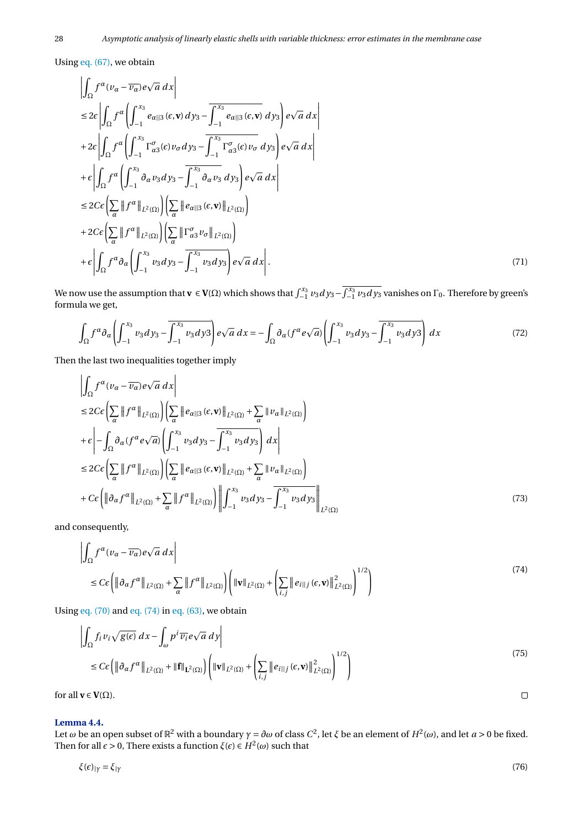Using [eq. \(67\),](#page-6-1) we obtain

$$
\left| \int_{\Omega} f^{\alpha} (\nu_{\alpha} - \overline{\nu_{\alpha}}) e \sqrt{a} \, dx \right|
$$
  
\n
$$
\leq 2\varepsilon \left| \int_{\Omega} f^{\alpha} \left( \int_{-1}^{x_3} e_{\alpha \| 3} (\varepsilon, \mathbf{v}) \, dy_3 - \overline{\int_{-1}^{x_3} e_{\alpha \| 3} (\varepsilon, \mathbf{v})} \, dy_3 \right) e \sqrt{a} \, dx \right|
$$
  
\n
$$
+ 2\varepsilon \left| \int_{\Omega} f^{\alpha} \left( \int_{-1}^{x_3} \Gamma_{\alpha 3}^{\sigma}(\varepsilon) \nu_{\sigma} \, dy_3 - \overline{\int_{-1}^{x_3} \Gamma_{\alpha 3}^{\sigma}(\varepsilon) \nu_{\sigma}} \, dy_3 \right) e \sqrt{a} \, dx \right|
$$
  
\n
$$
+ \varepsilon \left| \int_{\Omega} f^{\alpha} \left( \int_{-1}^{x_3} \partial_{\alpha} \nu_3 \, dy_3 - \overline{\int_{-1}^{x_3} \partial_{\alpha} \nu_3} \, dy_3 \right) e \sqrt{a} \, dx \right|
$$
  
\n
$$
\leq 2C\varepsilon \left( \sum_{\alpha} \|f^{\alpha}\|_{L^2(\Omega)} \right) \left( \sum_{\alpha} \|e_{\alpha\| 3} (\varepsilon, \mathbf{v})\|_{L^2(\Omega)} \right)
$$
  
\n
$$
+ 2C\varepsilon \left( \sum_{\alpha} \|f^{\alpha}\|_{L^2(\Omega)} \right) \left( \sum_{\alpha} \| \Gamma_{\alpha 3}^{\sigma} \nu_{\sigma} \|_{L^2(\Omega)} \right)
$$
  
\n
$$
+ \varepsilon \left| \int_{\Omega} f^{\alpha} \partial_{\alpha} \left( \int_{-1}^{x_3} \nu_3 \, dy_3 - \overline{\int_{-1}^{x_3} \nu_3 \, dy_3} \right) e \sqrt{a} \, dx \right|.
$$
 (71)

We now use the assumption that  $\mathbf{v} \in \mathbf{V}(\Omega)$  which shows that  $\int_{-1}^{x_3} v_3 dy_3 - \int_{-1}^{x_3} v_3 dy_3$  vanishes on Γ<sub>0</sub>. Therefore by green's formula we get,

$$
\int_{\Omega} f^{\alpha} \partial_{\alpha} \left( \int_{-1}^{x_3} v_3 dy_3 - \overline{\int_{-1}^{x_3} v_3 dy_3} \right) e \sqrt{a} dx = - \int_{\Omega} \partial_{\alpha} (f^{\alpha} e \sqrt{a}) \left( \int_{-1}^{x_3} v_3 dy_3 - \overline{\int_{-1}^{x_3} v_3 dy_3} \right) dx \tag{72}
$$

Then the last two inequalities together imply

$$
\left| \int_{\Omega} f^{\alpha} (\nu_{\alpha} - \overline{\nu_{\alpha}}) e \sqrt{a} \, dx \right|
$$
  
\n
$$
\leq 2C \epsilon \left( \sum_{\alpha} \| f^{\alpha} \|_{L^{2}(\Omega)} \right) \left( \sum_{\alpha} \| e_{\alpha} \|_{3} (\epsilon, \mathbf{v}) \|_{L^{2}(\Omega)} + \sum_{\alpha} \| \nu_{\alpha} \|_{L^{2}(\Omega)} \right)
$$
  
\n
$$
+ \epsilon \left| - \int_{\Omega} \partial_{\alpha} (f^{\alpha} e \sqrt{a}) \left( \int_{-1}^{x_{3}} \nu_{3} dy_{3} - \int_{-1}^{x_{3}} \nu_{3} dy_{3} \right) dx \right|
$$
  
\n
$$
\leq 2C \epsilon \left( \sum_{\alpha} \| f^{\alpha} \|_{L^{2}(\Omega)} \right) \left( \sum_{\alpha} \| e_{\alpha} \|_{3} (\epsilon, \mathbf{v}) \|_{L^{2}(\Omega)} + \sum_{\alpha} \| \nu_{\alpha} \|_{L^{2}(\Omega)} \right)
$$
  
\n
$$
+ C \epsilon \left( \| \partial_{\alpha} f^{\alpha} \|_{L^{2}(\Omega)} + \sum_{\alpha} \| f^{\alpha} \|_{L^{2}(\Omega)} \right) \left\| \int_{-1}^{x_{3}} \nu_{3} dy_{3} - \int_{-1}^{x_{3}} \nu_{3} dy_{3} \right\|_{L^{2}(\Omega)} \tag{73}
$$

and consequently,

<span id="page-7-0"></span>
$$
\left| \int_{\Omega} f^{\alpha} (\nu_{\alpha} - \overline{\nu_{\alpha}}) e \sqrt{a} \, dx \right|
$$
\n
$$
\leq C \epsilon \left( \left\| \partial_{\alpha} f^{\alpha} \right\|_{L^{2}(\Omega)} + \sum_{\alpha} \left\| f^{\alpha} \right\|_{L^{2}(\Omega)} \right) \left( \left\| \mathbf{v} \right\|_{L^{2}(\Omega)} + \left( \sum_{i,j} \left\| e_{i\|j} \left( \epsilon, \mathbf{v} \right) \right\|_{L^{2}(\Omega)}^{2} \right)^{1/2} \right) \tag{74}
$$

Using eq.  $(70)$  and eq.  $(74)$  in eq.  $(63)$ , we obtain

$$
\left| \int_{\Omega} f_i v_i \sqrt{g(\epsilon)} \, dx - \int_{\omega} p^i \overline{v_i} e \sqrt{a} \, dy \right|
$$
\n
$$
\leq C \epsilon \left( \left\| \partial_{\alpha} f^{\alpha} \right\|_{L^2(\Omega)} + \left\| \mathbf{f} \right\|_{L^2(\Omega)} \right) \left( \left\| \mathbf{v} \right\|_{L^2(\Omega)} + \left( \sum_{i,j} \left\| e_{i \mid j} \left( \epsilon, \mathbf{v} \right) \right\|_{L^2(\Omega)}^2 \right)^{1/2} \right)
$$
\n(75)

 $\Box$ 

for all  $\mathbf{v} \in \mathbf{V}(\Omega)$ .

# **Lemma 4.4.**

Let  $ω$  be an open subset of  $\mathbb{R}^2$  with a boundary  $γ = ∂ω$  of class  $C^2$ , let *ξ* be an element of  $H^2(ω)$ , and let  $a > 0$  be fixed. Then for all *ε* > 0, There exists a function *ξ*(*ε*) ∈ *H*<sup>2</sup>(*ω*) such that

$$
\xi(\epsilon)_{|\gamma} = \xi_{|\gamma} \tag{76}
$$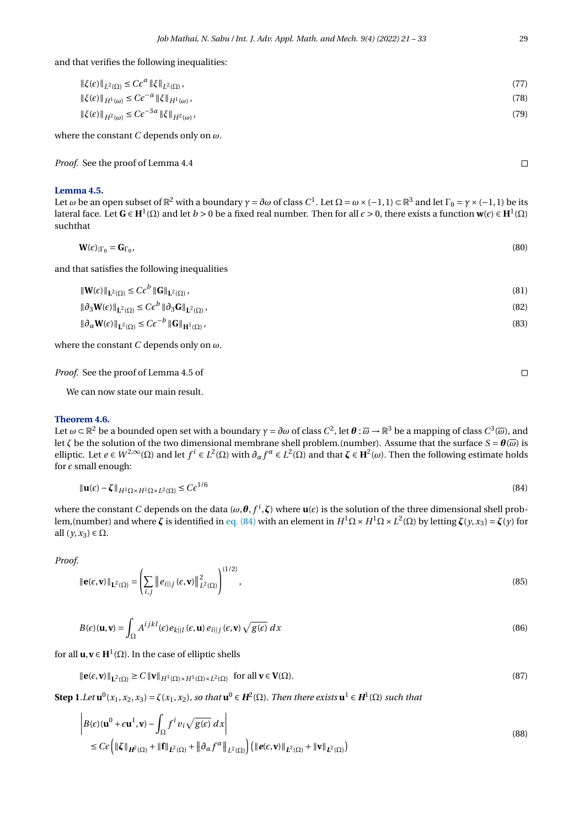and that verifies the following inequalities:

| $\ \xi(\epsilon)\ _{L^2(\Omega)} \leq C\epsilon^a \ \xi\ _{L^2(\Omega)},$      | (77) |
|--------------------------------------------------------------------------------|------|
| $\ \xi(\epsilon)\ _{H^1(\omega)} \leq C\epsilon^{-a} \ \xi\ _{H^1(\omega)},$   | (78) |
| $\ \xi(\epsilon)\ _{H^2(\omega)} \leq C \epsilon^{-3a} \ \xi\ _{H^2(\omega)},$ | (79) |

where the constant *C* depends only on *ω*.

*Proof.* See the proof of Lemma 4.4

## <span id="page-8-1"></span>**Lemma 4.5.**

Let *ω* be an open subset of  $\R^2$  with a boundary  $\gamma=\partial\omega$  of class  $C^1.$  Let Ω =  $\omega\times(-1,1)\subset\R^3$  and let Γ<sub>0</sub> =  $\gamma\times(-1,1)$  be its lateral face. Let  $G \in H^1(\Omega)$  and let  $b>0$  be a fixed real number. Then for all  $\epsilon>0$ , there exists a function  $w(\epsilon) \in H^1(\Omega)$ suchthat

$$
\mathbf{W}(\epsilon)|_{\Gamma_0} = \mathbf{G}_{\Gamma_0},\tag{80}
$$

and that satisfies the following inequalities

$$
\|\mathbf{W}(\epsilon)\|_{\mathbf{L}^{2}(\Omega)} \leq C\epsilon^{b} \|\mathbf{G}\|_{\mathbf{L}^{2}(\Omega)},
$$
\n
$$
\|\partial_{3}\mathbf{W}(\epsilon)\|_{\mathbf{L}^{2}(\Omega)} \leq C\epsilon^{b} \|\partial_{3}\mathbf{G}\|_{\mathbf{L}^{2}(\Omega)},
$$
\n
$$
\|\partial_{\alpha}\mathbf{W}(\epsilon)\|_{\mathbf{L}^{2}(\Omega)} \leq C\epsilon^{-b} \|\mathbf{G}\|_{\mathbf{H}^{1}(\Omega)},
$$
\n(83)

where the constant *C* depends only on *ω*.

*Proof.* See the proof of Lemma 4.5 of

We can now state our main result.

#### **Theorem 4.6.**

Let  $ω$  ⊂ ℝ $^2$  be a bounded open set with a boundary  $γ = ∂ω$  of class  $C^2$ , let  $\bm{\theta}:\overline{ω}\to\mathbb{R}^3$  be a mapping of class  $C^3(ω)$ , and let *ζ* be the solution of the two dimensional membrane shell problem.(number). Assume that the surface *S* =  $θ$ ( $\overline{\omega}$ ) is  $elliptic.$  Let *e* ∈ *W*<sup>2,∞</sup>(Ω) and let *f*<sup>*i*</sup> ∈ *L*<sup>2</sup>(Ω) with  $∂_α f^α$  ∈ *L*<sup>2</sup>(Ω) and that  $ζ$  ∈ **H**<sup>2</sup>(ω). Then the following estimate holds for  $\epsilon$  small enough:

<span id="page-8-0"></span>
$$
\|\mathbf{u}(\epsilon) - \zeta\|_{H^1 \Omega \times H^1 \Omega \times L^2(\Omega)} \leq C \epsilon^{1/6}
$$
\n(84)

where the constant  $C$  depends on the data ( $\omega$ , $\bm{\theta}, f^i$ , $\bm{\zeta}$ ) where  $\bm{{\bf u}}(\epsilon)$  is the solution of the three dimensional shell problem,(number) and where *ζ* is identified in [eq. \(84\)](#page-8-0) with an element in *H* <sup>1</sup>Ω× *H* <sup>1</sup>Ω×*L* 2 (Ω) by letting *ζ*(*y*,*x*3) = *ζ*(*y*) for all  $(y, x_3) \in \Omega$ .

*Proof.*

$$
\|\mathbf{e}(\varepsilon,\mathbf{v})\|_{\mathbf{L}^{2}(\Omega)} = \left(\sum_{i,j} \|e_{i\mid j}(\varepsilon,\mathbf{v})\|_{L^{2}(\Omega)}^{2}\right)^{(1/2)},
$$
\n(85)

$$
B(\epsilon)(\mathbf{u}, \mathbf{v}) = \int_{\Omega} A^{ijkl}(\epsilon) e_{k||l}(\epsilon, \mathbf{u}) e_{i||j}(\epsilon, \mathbf{v}) \sqrt{g(\epsilon)} dx
$$
\n(86)

for all  $\mathbf{u}, \mathbf{v} \in \mathbf{H}^1(\Omega)$ . In the case of elliptic shells

$$
\|\mathbf{e}(\epsilon,\mathbf{v})\|_{\mathbf{L}^2(\Omega)} \ge C \|\mathbf{v}\|_{H^1(\Omega) \times H^1(\Omega) \times L^2(\Omega)} \quad \text{for all } \mathbf{v} \in \mathbf{V}(\Omega). \tag{87}
$$

Step 1.Let  $\mathbf{u}^0(x_1, x_2, x_3) = \zeta(x_1, x_2)$ , so that  $\mathbf{u}^0 \in H^2(\Omega)$ . Then there exists  $\mathbf{u}^1 \in H^1(\Omega)$  such that

$$
\begin{aligned} \left| B(\epsilon)(\mathbf{u}^{0} + \epsilon \mathbf{u}^{1}, \mathbf{v}) - \int_{\Omega} f^{i} v_{i} \sqrt{g(\epsilon)} \, dx \right| \\ &\leq C \epsilon \left( \|\zeta\|_{H^{2}(\Omega)} + \|\mathbf{f}\|_{L^{2}(\Omega)} + \left\| \partial_{\alpha} f^{\alpha} \right\|_{L^{2}(\Omega)} \right) \left( \left\| e(\epsilon, \mathbf{v}) \right\|_{L^{2}(\Omega)} + \left\| \mathbf{v} \right\|_{L^{2}(\Omega)} \right) \end{aligned} \tag{88}
$$

 $\Box$ 

<span id="page-8-2"></span> $\Box$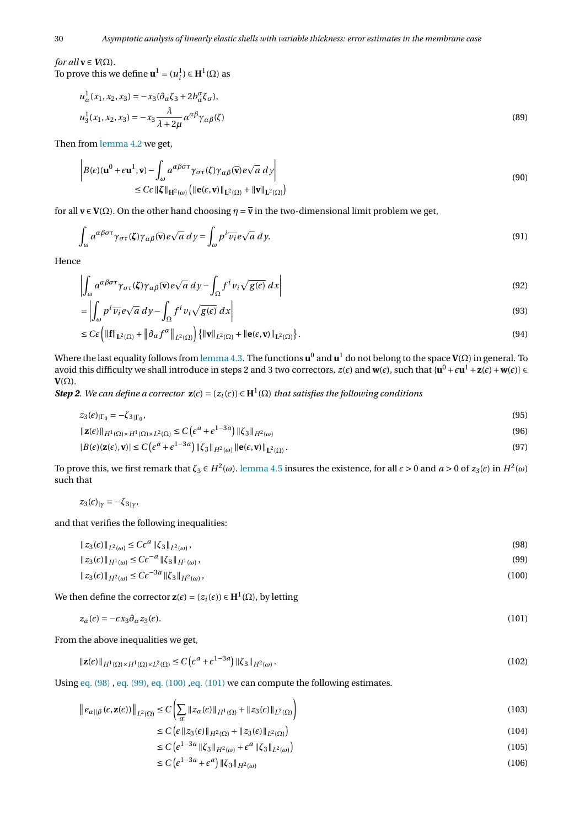*for all*  $\mathbf{v} \in V(\Omega)$ . To prove this we define  $\mathbf{u}^1 = (u_i^1) \in \mathbf{H}^1(\Omega)$  as

<span id="page-9-5"></span>
$$
u_{\alpha}^{1}(x_{1}, x_{2}, x_{3}) = -x_{3}(\partial_{\alpha}\zeta_{3} + 2b_{\alpha}^{\sigma}\zeta_{\sigma}),
$$
  
\n
$$
u_{3}^{1}(x_{1}, x_{2}, x_{3}) = -x_{3}\frac{\lambda}{\lambda + 2\mu}a^{\alpha\beta}\gamma_{\alpha\beta}(\zeta)
$$
\n(89)

Then from [lemma 4.2](#page-4-4) we get,

$$
\left| B(\epsilon)(\mathbf{u}^{0} + \epsilon \mathbf{u}^{1}, \mathbf{v}) - \int_{\omega} a^{\alpha \beta \sigma \tau} \gamma_{\sigma \tau}(\zeta) \gamma_{\alpha \beta}(\overline{\mathbf{v}}) e \sqrt{a} \, d\mathbf{y} \right|
$$
  
\n
$$
\leq C \epsilon \| \zeta \|_{\mathbf{H}^{2}(\omega)} \left( \| \mathbf{e}(\epsilon, \mathbf{v}) \|_{\mathbf{L}^{2}(\Omega)} + \| \mathbf{v} \|_{\mathbf{L}^{2}(\Omega)} \right)
$$
\n(90)

for all  $\mathbf{v} \in \mathbf{V}(\Omega)$ . On the other hand choosing  $\eta = \bar{\mathbf{v}}$  in the two-dimensional limit problem we get,

$$
\int_{\omega} a^{\alpha\beta\sigma\tau} \gamma_{\sigma\tau}(\zeta) \gamma_{\alpha\beta}(\overline{\mathbf{v}}) e \sqrt{a} \, dy = \int_{\omega} p^i \overline{\nu_i} e \sqrt{a} \, dy. \tag{91}
$$

Hence

$$
\left| \int_{\omega} a^{\alpha \beta \sigma \tau} \gamma_{\sigma \tau}(\zeta) \gamma_{\alpha \beta}(\overline{\mathbf{v}}) e \sqrt{a} \, d\mathbf{y} - \int_{\Omega} f^i v_i \sqrt{g(\epsilon)} \, d\mathbf{x} \right| \tag{92}
$$

$$
= \left| \int_{\omega} p^i \overline{v_i} e \sqrt{a} \, dy - \int_{\Omega} f^i v_i \sqrt{g(\epsilon)} \, dx \right| \tag{93}
$$

$$
\leq C \epsilon \left( \|\mathbf{f}\|_{\mathbf{L}^2(\Omega)} + \left\| \partial_{\alpha} f^{\alpha} \right\|_{L^2(\Omega)} \right) \left\{ \|\mathbf{v}\|_{L^2(\Omega)} + \|\mathbf{e}(\epsilon, \mathbf{v})\|_{\mathbf{L}^2(\Omega)} \right\}.
$$
\n(94)

Where the last equality follows from [lemma 4.3.](#page-5-2) The functions **u** 0 and **u** <sup>1</sup> do not belong to the space **V**(Ω) in general. To avoid this difficulty we shall introduce in steps 2 and 3 two correctors,  $z(\epsilon)$  and  $w(\epsilon)$ , such that  $\{u^0+\epsilon u^1+{\bf z}(\epsilon)+w(\epsilon)\}\in$  $V(\Omega)$ .

*Step 2. We can define a corrector*  $z(\epsilon) = (z_i(\epsilon)) \in H^1(\Omega)$  *that satisfies the following conditions* 

$$
z_3(\epsilon)|_{\Gamma_0} = -\zeta_{3|\Gamma_0},\tag{95}
$$

<span id="page-9-6"></span><span id="page-9-4"></span>
$$
\|\mathbf{z}(\epsilon)\|_{H^1(\Omega)\times H^1(\Omega)\times L^2(\Omega)} \le C\left(\epsilon^a + \epsilon^{1-3a}\right) \|\zeta_3\|_{H^2(\omega)}
$$
\n(96)

$$
|B(\epsilon)(\mathbf{z}(\epsilon), \mathbf{v})| \le C\left(\epsilon^a + \epsilon^{1-3a}\right) \|\zeta_3\|_{H^2(\omega)} \|\mathbf{e}(\epsilon, \mathbf{v})\|_{\mathbf{L}^2(\Omega)}\,. \tag{97}
$$

To prove this, we first remark that *ζ*<sub>3</sub> ∈ *H*<sup>2</sup>(ω). [lemma 4.5](#page-8-1) insures the existence, for all *ε* > 0 and *a* > 0 of *z*<sub>3</sub>(*ε*) in *H*<sup>2</sup>(ω) such that

 $z_3(\epsilon)_{|\gamma} = -\zeta_{3|\gamma}$ 

and that verifies the following inequalities:

$$
||z_{3}(\epsilon)||_{L^{2}(\omega)} \leq C\epsilon^{a} ||\zeta_{3}||_{L^{2}(\omega)},
$$
  
\n
$$
||z_{3}(\epsilon)||_{H^{1}(\omega)} \leq C\epsilon^{-a} ||\zeta_{3}||_{H^{1}(\omega)},
$$
  
\n
$$
||z_{3}(\epsilon)||_{H^{2}(\omega)} \leq C\epsilon^{-3a} ||\zeta_{3}||_{H^{2}(\omega)},
$$
  
\n(100)

We then define the corrector  $\mathbf{z}(\epsilon) = (z_i(\epsilon)) \in \mathbf{H}^1(\Omega)$ , by letting

$$
z_{\alpha}(\epsilon) = -\epsilon x_3 \partial_{\alpha} z_3(\epsilon). \tag{101}
$$

From the above inequalities we get,

$$
\|\mathbf{z}(\epsilon)\|_{H^1(\Omega)\times H^1(\Omega)\times L^2(\Omega)} \le C\left(\epsilon^a + \epsilon^{1-3a}\right) \|\zeta_3\|_{H^2(\omega)}\,. \tag{102}
$$

Using [eq. \(98\)](#page-9-0), [eq. \(99\),](#page-9-1) [eq. \(100\)](#page-9-2), eq. (101) we can compute the following estimates.

$$
\left\|e_{\alpha\|\beta}(\epsilon, \mathbf{z}(\epsilon))\right\|_{L^2(\Omega)} \le C\left(\sum_{\alpha} \|z_{\alpha}(\epsilon)\|_{H^1(\Omega)} + \|z_3(\epsilon)\|_{L^2(\Omega)}\right)
$$
\n(103)

<span id="page-9-3"></span><span id="page-9-2"></span><span id="page-9-1"></span><span id="page-9-0"></span>
$$
\leq C \left( \epsilon \left\| z_3(\epsilon) \right\|_{H^2(\Omega)} + \left\| z_3(\epsilon) \right\|_{L^2(\Omega)} \right) \tag{104}
$$

$$
\leq C \left( \epsilon^{1-3a} \left\| \zeta_3 \right\|_{H^2(\omega)} + \epsilon^a \left\| \zeta_3 \right\|_{L^2(\omega)} \right) \tag{105}
$$

$$
\leq C \left( \epsilon^{1-3a} + \epsilon^a \right) \| \zeta_3 \|_{H^2(\omega)} \tag{106}
$$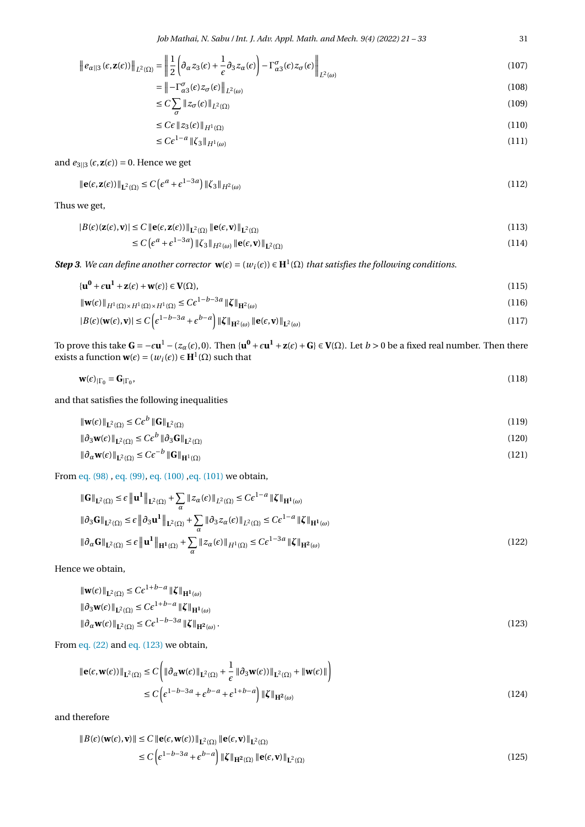$$
\|e_{\alpha||3}(\epsilon, \mathbf{z}(\epsilon))\|_{L^2(\Omega)} = \left\|\frac{1}{2}\left(\partial_{\alpha}z_3(\epsilon) + \frac{1}{\epsilon}\partial_{3}z_{\alpha}(\epsilon)\right) - \Gamma^{\sigma}_{\alpha3}(\epsilon)z_{\sigma}(\epsilon)\right\|_{L^2(\omega)}
$$
(107)

$$
= \left\| -\Gamma_{\alpha 3}^{\sigma}(\epsilon) z_{\sigma}(\epsilon) \right\|_{L^{2}(\omega)}
$$
\n(108)

$$
\leq C \sum_{\sigma} \|z_{\sigma}(\epsilon)\|_{L^{2}(\Omega)} \tag{109}
$$

$$
\leq C\epsilon \left\| z_3(\epsilon) \right\|_{H^1(\Omega)} \tag{110}
$$

<span id="page-10-1"></span>
$$
C\epsilon^{1-a} \|\zeta_3\|_{H^1(\omega)}
$$
\n<sup>(111)</sup>

and  $e_{3||3}(\epsilon, \mathbf{z}(\epsilon)) = 0$ . Hence we get

≤ *C²*

$$
\|\mathbf{e}(\varepsilon, \mathbf{z}(\varepsilon))\|_{\mathbf{L}^2(\Omega)} \le C \left(\varepsilon^a + \varepsilon^{1-3a}\right) \|\zeta_3\|_{H^2(\omega)}
$$
\n(112)

Thus we get,

$$
|B(\epsilon)(\mathbf{z}(\epsilon), \mathbf{v})| \le C \|\mathbf{e}(\epsilon, \mathbf{z}(\epsilon))\|_{\mathbf{L}^2(\Omega)} \|\mathbf{e}(\epsilon, \mathbf{v})\|_{\mathbf{L}^2(\Omega)}
$$
  
\n
$$
\le C \left(\epsilon^a + \epsilon^{1-3a}\right) \|\zeta_3\|_{H^2(\omega)} \|\mathbf{e}(\epsilon, \mathbf{v})\|_{\mathbf{L}^2(\Omega)}
$$
\n(114)

*Step 3. We can define another corrector*  $\mathbf{w}(\epsilon) = (w_i(\epsilon)) \in \mathbf{H}^1(\Omega)$  *that satisfies the following conditions.* 

$$
\{\mathbf{u}^0 + \epsilon \mathbf{u}^1 + \mathbf{z}(\epsilon) + \mathbf{w}(\epsilon)\} \in \mathbf{V}(\Omega),
$$
\n
$$
\|\mathbf{w}(\epsilon)\|_{H^1(\Omega) \times H^1(\Omega) \times H^1(\Omega)} \le C\epsilon^{1-b-3a} \|\boldsymbol{\zeta}\|_{H^2(\omega)}
$$
\n(116)

$$
\|\mathbf{W}(\varepsilon)\|_{H^1(\Omega)\times H^1(\Omega)\times H^1(\Omega)} \leq C\varepsilon \qquad \|\mathbf{S}\|_{\mathbf{H}^2(\omega)}\tag{110}
$$
\n
$$
|B(\varepsilon)(\mathbf{W}(\varepsilon), \mathbf{v})| \leq C\left(\varepsilon^{1-b-3a} + \varepsilon^{b-a}\right) \|\zeta\|_{\mathbf{H}^2(\omega)} \|\mathbf{e}(\varepsilon, \mathbf{v})\|_{\mathbf{L}^2(\omega)}\tag{117}
$$

To prove this take  $G=-\epsilon u^1-(z_\alpha(\epsilon),0).$  Then  $\{u^0+\epsilon u^1+z(\epsilon)+G\}\in V(\Omega)$ . Let  $b>0$  be a fixed real number. Then there exists a function  $\mathbf{w}(\epsilon) = (w_i(\epsilon)) \in \mathbf{H}^1(\Omega)$  such that

$$
\mathbf{w}(\epsilon)|_{\Gamma_0} = \mathbf{G}_{|\Gamma_0},\tag{118}
$$

and that satisfies the following inequalities

$$
\|\mathbf{w}(\epsilon)\|_{\mathbf{L}^{2}(\Omega)} \leq C\epsilon^{b} \|\mathbf{G}\|_{\mathbf{L}^{2}(\Omega)}
$$
\n
$$
\|\partial_{3}\mathbf{w}(\epsilon)\|_{\mathbf{L}^{2}(\Omega)} \leq C\epsilon^{b} \|\partial_{3}\mathbf{G}\|_{\mathbf{L}^{2}(\Omega)}
$$
\n
$$
\|\partial_{\alpha}\mathbf{w}(\epsilon)\|_{\mathbf{L}^{2}(\Omega)} \leq C\epsilon^{-b} \|\mathbf{G}\|_{\mathbf{H}^{1}(\Omega)}
$$
\n(121)

From [eq. \(98\)](#page-9-0) , [eq. \(99\),](#page-9-1) [eq. \(100\)](#page-9-2) [,eq. \(101\)](#page-9-3) we obtain,

$$
\|\mathbf{G}\|_{\mathbf{L}^{2}(\Omega)} \leq \epsilon \|\mathbf{u}^{1}\|_{\mathbf{L}^{2}(\Omega)} + \sum_{\alpha} \|z_{\alpha}(\epsilon)\|_{L^{2}(\Omega)} \leq C\epsilon^{1-a} \|\zeta\|_{\mathbf{H}^{1}(\omega)}
$$
  

$$
\|\partial_{3}\mathbf{G}\|_{\mathbf{L}^{2}(\Omega)} \leq \epsilon \|\partial_{3}\mathbf{u}^{1}\|_{\mathbf{L}^{2}(\Omega)} + \sum_{\alpha} \|\partial_{3}z_{\alpha}(\epsilon)\|_{L^{2}(\Omega)} \leq C\epsilon^{1-a} \|\zeta\|_{\mathbf{H}^{1}(\omega)}
$$
  

$$
\|\partial_{\alpha}\mathbf{G}\|_{\mathbf{L}^{2}(\Omega)} \leq \epsilon \|\mathbf{u}^{1}\|_{\mathbf{H}^{1}(\Omega)} + \sum_{\alpha} \|z_{\alpha}(\epsilon)\|_{H^{1}(\Omega)} \leq C\epsilon^{1-3a} \|\zeta\|_{\mathbf{H}^{2}(\omega)}
$$
(122)

Hence we obtain,

<span id="page-10-0"></span>
$$
\|\mathbf{w}(\epsilon)\|_{\mathbf{L}^{2}(\Omega)} \leq C\epsilon^{1+b-a} \|\boldsymbol{\zeta}\|_{\mathbf{H}^{1}(\omega)}
$$
  

$$
\|\partial_{3}\mathbf{w}(\epsilon)\|_{\mathbf{L}^{2}(\Omega)} \leq C\epsilon^{1+b-a} \|\boldsymbol{\zeta}\|_{\mathbf{H}^{1}(\omega)}
$$
  

$$
\|\partial_{\alpha}\mathbf{w}(\epsilon)\|_{\mathbf{L}^{2}(\Omega)} \leq C\epsilon^{1-b-3a} \|\boldsymbol{\zeta}\|_{\mathbf{H}^{2}(\omega)}.
$$
 (123)

From [eq. \(22\)](#page-2-1) and [eq. \(123\)](#page-10-0) we obtain,

$$
\|\mathbf{e}(\epsilon, \mathbf{w}(\epsilon))\|_{\mathbf{L}^{2}(\Omega)} \leq C \left( \|\partial_{\alpha} \mathbf{w}(\epsilon)\|_{\mathbf{L}^{2}(\Omega)} + \frac{1}{\epsilon} \|\partial_{3} \mathbf{w}(\epsilon)\|_{\mathbf{L}^{2}(\Omega)} + \|\mathbf{w}(\epsilon)\| \right)
$$
  
\n
$$
\leq C \left( \epsilon^{1-b-3a} + \epsilon^{b-a} + \epsilon^{1+b-a} \right) \|\zeta\|_{\mathbf{H}^{2}(\omega)} \tag{124}
$$

and therefore

$$
||B(\epsilon)(\mathbf{w}(\epsilon), \mathbf{v})|| \le C ||\mathbf{e}(\epsilon, \mathbf{w}(\epsilon))||_{\mathbf{L}^{2}(\Omega)} ||\mathbf{e}(\epsilon, \mathbf{v})||_{\mathbf{L}^{2}(\Omega)}
$$
  
\n
$$
\le C \left( \epsilon^{1-b-3a} + \epsilon^{b-a} \right) ||\zeta||_{\mathbf{H}^{2}(\Omega)} ||\mathbf{e}(\epsilon, \mathbf{v})||_{\mathbf{L}^{2}(\Omega)}
$$
\n(125)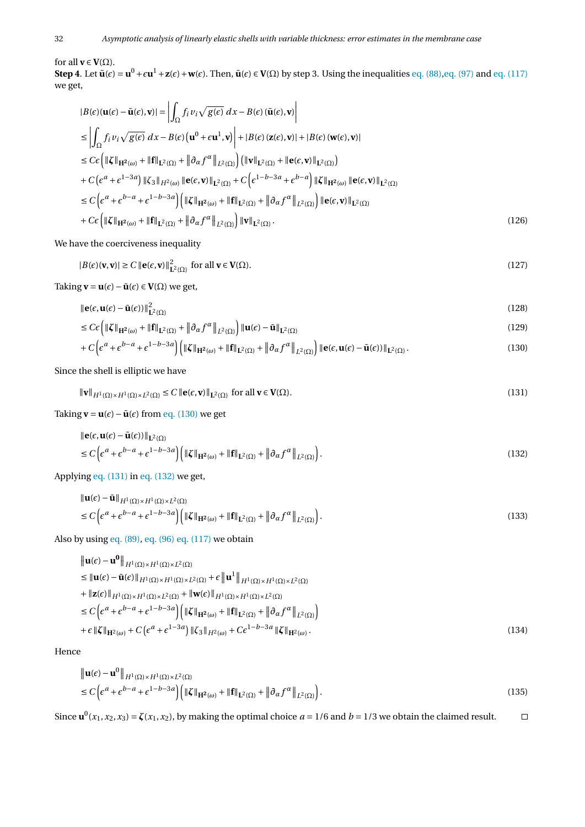for all  $\mathbf{v} \in \mathbf{V}(\Omega)$ .

**Step 4**. Let  $\tilde{\mathbf{u}}(\epsilon) = \mathbf{u}^0 + \epsilon \mathbf{u}^1 + \mathbf{z}(\epsilon) + \mathbf{w}(\epsilon)$ . Then,  $\tilde{\mathbf{u}}(\epsilon) \in \mathbf{V}(\Omega)$  by step 3. Using the inequalities [eq. \(88\),](#page-8-2) [eq. \(97\)](#page-9-4) and [eq. \(117\)](#page-10-1) we get,

$$
|B(\epsilon)(\mathbf{u}(\epsilon) - \tilde{\mathbf{u}}(\epsilon), \mathbf{v})| = \left| \int_{\Omega} f_i v_i \sqrt{g(\epsilon)} dx - B(\epsilon) (\tilde{\mathbf{u}}(\epsilon), \mathbf{v}) \right|
$$
  
\n
$$
\leq \left| \int_{\Omega} f_i v_i \sqrt{g(\epsilon)} dx - B(\epsilon) (\mathbf{u}^0 + \epsilon \mathbf{u}^1, \mathbf{v}) \right| + |B(\epsilon) (\mathbf{z}(\epsilon), \mathbf{v})| + |B(\epsilon) (\mathbf{w}(\epsilon), \mathbf{v})|
$$
  
\n
$$
\leq C \epsilon \left( \| \zeta \|_{\mathbf{H}^2(\omega)} + \| \mathbf{f} \|_{\mathbf{L}^2(\Omega)} + \| \partial_{\alpha} f^{\alpha} \|_{L^2(\Omega)} \right) \left( \| \mathbf{v} \|_{\mathbf{L}^2(\Omega)} + \| \mathbf{e}(\epsilon, \mathbf{v}) \|_{\mathbf{L}^2(\Omega)} \right)
$$
  
\n+  $C \left( \epsilon^a + \epsilon^{1-3a} \right) \| \zeta_3 \|_{H^2(\omega)} \| \mathbf{e}(\epsilon, \mathbf{v}) \|_{\mathbf{L}^2(\Omega)} + C \left( \epsilon^{1-b-3a} + \epsilon^{b-a} \right) \| \zeta \|_{\mathbf{H}^2(\omega)} \| \mathbf{e}(\epsilon, \mathbf{v}) \|_{\mathbf{L}^2(\Omega)}$   
\n
$$
\leq C \left( \epsilon^a + \epsilon^{b-a} + \epsilon^{1-b-3a} \right) \left( \| \zeta \|_{\mathbf{H}^2(\omega)} + \| \mathbf{f} \|_{\mathbf{L}^2(\Omega)} + \| \partial_{\alpha} f^{\alpha} \|_{L^2(\Omega)} \right) \| \mathbf{e}(\epsilon, \mathbf{v}) \|_{\mathbf{L}^2(\Omega)}
$$
  
\n+  $C \epsilon \left( \| \zeta \|_{\mathbf{H}^2(\omega)} + \| \mathbf{f} \|_{\mathbf{L}^2(\Omega)} + \| \partial_{\alpha} f^{\alpha} \|_{L^2(\Omega)} \right) \| \mathbf{v} \|_{L^2(\Omega)}.$  (126)

We have the coerciveness inequality

$$
|B(\epsilon)(\mathbf{v}, \mathbf{v})| \ge C \|\mathbf{e}(\epsilon, \mathbf{v})\|_{\mathbf{L}^2(\Omega)}^2 \text{ for all } \mathbf{v} \in \mathbf{V}(\Omega). \tag{127}
$$

Taking  $\mathbf{v} = \mathbf{u}(\epsilon) - \tilde{\mathbf{u}}(\epsilon) \in \mathbf{V}(\Omega)$  we get,

$$
\|\mathbf{e}(\epsilon,\mathbf{u}(\epsilon)-\tilde{\mathbf{u}}(\epsilon))\|_{\mathbf{L}^{2}(\Omega)}^{2}
$$
\n(128)

$$
\leq C \epsilon \left( \|\zeta\|_{\mathbf{H}^2(\omega)} + \|\mathbf{f}\|_{\mathbf{L}^2(\Omega)} + \left\| \partial_{\alpha} f^{\alpha} \right\|_{L^2(\Omega)} \right) \|\mathbf{u}(\epsilon) - \tilde{\mathbf{u}}\|_{\mathbf{L}^2(\Omega)} \tag{129}
$$

<span id="page-11-1"></span><span id="page-11-0"></span>
$$
+ C \Big( \epsilon^a + \epsilon^{b-a} + \epsilon^{1-b-3a} \Big) \Big( \| \zeta \|_{\mathbf{H}^2(\omega)} + \| \mathbf{f} \|_{\mathbf{L}^2(\Omega)} + \| \partial_{\alpha} f^{\alpha} \|_{L^2(\Omega)} \Big) \| \mathbf{e}(\epsilon, \mathbf{u}(\epsilon) - \tilde{\mathbf{u}}(\epsilon)) \|_{\mathbf{L}^2(\Omega)} .
$$
\n(130)

Since the shell is elliptic we have

$$
\|\mathbf{v}\|_{H^1(\Omega)\times H^1(\Omega)\times L^2(\Omega)} \le C \left\|\mathbf{e}(\epsilon, \mathbf{v})\right\|_{L^2(\Omega)} \text{ for all } \mathbf{v} \in \mathbf{V}(\Omega). \tag{131}
$$

Taking  $\mathbf{v} = \mathbf{u}(\epsilon) - \tilde{\mathbf{u}}(\epsilon)$  from [eq. \(130\)](#page-11-0) we get

<span id="page-11-2"></span>
$$
\|\mathbf{e}(\epsilon,\mathbf{u}(\epsilon)-\tilde{\mathbf{u}}(\epsilon))\|_{\mathbf{L}^{2}(\Omega)}
$$
  
\n
$$
\leq C\left(\epsilon^{a}+\epsilon^{b-a}+\epsilon^{1-b-3a}\right)\left(\|\boldsymbol{\zeta}\|_{\mathbf{H}^{2}(\omega)}+\|\mathbf{f}\|_{\mathbf{L}^{2}(\Omega)}+\|\partial_{\alpha}f^{\alpha}\|_{\mathbf{L}^{2}(\Omega)}\right).
$$
\n(132)

Applying [eq. \(131\)](#page-11-1) in [eq. \(132\)](#page-11-2) we get,

$$
\|\mathbf{u}(\epsilon) - \tilde{\mathbf{u}}\|_{H^1(\Omega) \times H^1(\Omega) \times L^2(\Omega)}\n\n\le C \Big( \epsilon^a + \epsilon^{b-a} + \epsilon^{1-b-3a} \Big) \Big( \|\zeta\|_{\mathbf{H}^2(\omega)} + \|\mathbf{f}\|_{\mathbf{L}^2(\Omega)} + \|\partial_{\alpha} f^{\alpha}\|_{L^2(\Omega)} \Big). \tag{133}
$$

Also by using [eq. \(89\),](#page-9-5) [eq. \(96\)](#page-9-6) [eq. \(117\)](#page-10-1) we obtain

$$
\|\mathbf{u}(\epsilon) - \mathbf{u}^{0}\|_{H^{1}(\Omega) \times H^{1}(\Omega) \times L^{2}(\Omega)}
$$
\n
$$
\leq \|\mathbf{u}(\epsilon) - \tilde{\mathbf{u}}(\epsilon)\|_{H^{1}(\Omega) \times H^{1}(\Omega) \times L^{2}(\Omega)} + \epsilon \|\mathbf{u}^{1}\|_{H^{1}(\Omega) \times H^{1}(\Omega) \times L^{2}(\Omega)}
$$
\n
$$
+ \|z(\epsilon)\|_{H^{1}(\Omega) \times H^{1}(\Omega) \times L^{2}(\Omega)} + \|\mathbf{w}(\epsilon)\|_{H^{1}(\Omega) \times H^{1}(\Omega) \times L^{2}(\Omega)}
$$
\n
$$
\leq C \left(\epsilon^{a} + \epsilon^{b-a} + \epsilon^{1-b-3a}\right) \left(\|\zeta\|_{H^{2}(\omega)} + \|\mathbf{f}\|_{L^{2}(\Omega)} + \|\partial_{\alpha} f^{\alpha}\|_{L^{2}(\Omega)}\right)
$$
\n
$$
+ \epsilon \|\zeta\|_{H^{2}(\omega)} + C \left(\epsilon^{a} + \epsilon^{1-3a}\right) \|\zeta_{3}\|_{H^{2}(\omega)} + C \epsilon^{1-b-3a} \|\zeta\|_{H^{2}(\omega)} .
$$
\n(134)

Hence

$$
\|\mathbf{u}(\epsilon) - \mathbf{u}^{0}\|_{H^{1}(\Omega) \times H^{1}(\Omega) \times L^{2}(\Omega)}
$$
  
\n
$$
\leq C \Big( \epsilon^{a} + \epsilon^{b-a} + \epsilon^{1-b-3a} \Big) \Big( \|\zeta\|_{\mathbf{H}^{2}(\omega)} + \|\mathbf{f}\|_{\mathbf{L}^{2}(\Omega)} + \|\partial_{\alpha} f^{\alpha}\|_{L^{2}(\Omega)} \Big). \tag{135}
$$

Since  $\mathbf{u}^0(x_1, x_2, x_3) = \zeta(x_1, x_2)$ , by making the optimal choice  $a = 1/6$  and  $b = 1/3$  we obtain the claimed result.  $\Box$